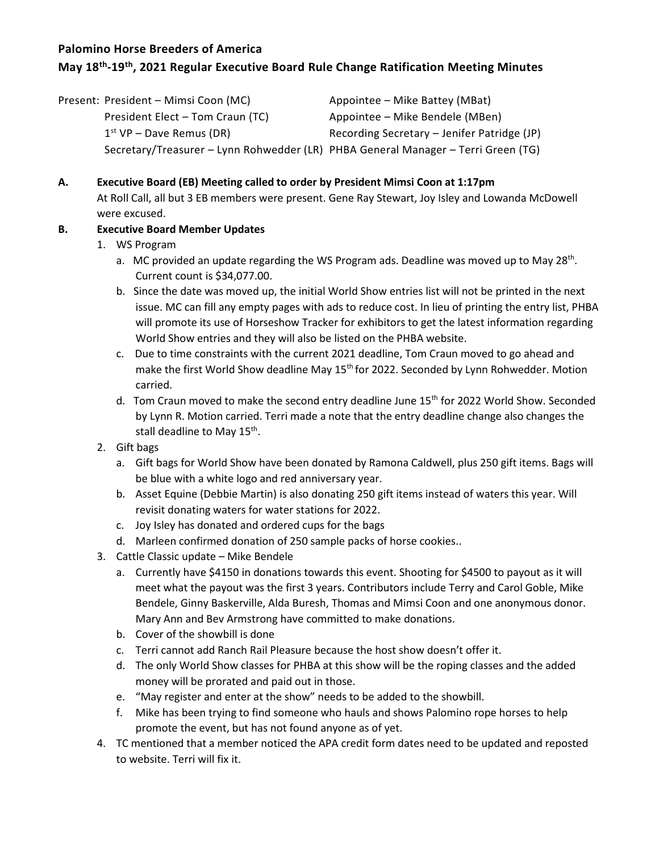# **May 18th -19th , 2021 Regular Executive Board Rule Change Ratification Meeting Minutes**

| Present: President - Mimsi Coon (MC)                                              | Appointee – Mike Battey (MBat)              |
|-----------------------------------------------------------------------------------|---------------------------------------------|
| President Elect - Tom Craun (TC)                                                  | Appointee – Mike Bendele (MBen)             |
| $1st VP - Dave Remus (DR)$                                                        | Recording Secretary – Jenifer Patridge (JP) |
| Secretary/Treasurer - Lynn Rohwedder (LR) PHBA General Manager - Terri Green (TG) |                                             |

## **A. Executive Board (EB) Meeting called to order by President Mimsi Coon at 1:17pm**

At Roll Call, all but 3 EB members were present. Gene Ray Stewart, Joy Isley and Lowanda McDowell were excused.

## **B. Executive Board Member Updates**

- 1. WS Program
	- a. MC provided an update regarding the WS Program ads. Deadline was moved up to May 28<sup>th</sup>. Current count is \$34,077.00.
	- b. Since the date was moved up, the initial World Show entries list will not be printed in the next issue. MC can fill any empty pages with ads to reduce cost. In lieu of printing the entry list, PHBA will promote its use of Horseshow Tracker for exhibitors to get the latest information regarding World Show entries and they will also be listed on the PHBA website.
	- c. Due to time constraints with the current 2021 deadline, Tom Craun moved to go ahead and make the first World Show deadline May 15<sup>th</sup> for 2022. Seconded by Lynn Rohwedder. Motion carried.
	- d. Tom Craun moved to make the second entry deadline June 15<sup>th</sup> for 2022 World Show. Seconded by Lynn R. Motion carried. Terri made a note that the entry deadline change also changes the stall deadline to May  $15^{\text{th}}$ .
- 2. Gift bags
	- a. Gift bags for World Show have been donated by Ramona Caldwell, plus 250 gift items. Bags will be blue with a white logo and red anniversary year.
	- b. Asset Equine (Debbie Martin) is also donating 250 gift items instead of waters this year. Will revisit donating waters for water stations for 2022.
	- c. Joy Isley has donated and ordered cups for the bags
	- d. Marleen confirmed donation of 250 sample packs of horse cookies..
- 3. Cattle Classic update Mike Bendele
	- a. Currently have \$4150 in donations towards this event. Shooting for \$4500 to payout as it will meet what the payout was the first 3 years. Contributors include Terry and Carol Goble, Mike Bendele, Ginny Baskerville, Alda Buresh, Thomas and Mimsi Coon and one anonymous donor. Mary Ann and Bev Armstrong have committed to make donations.
	- b. Cover of the showbill is done
	- c. Terri cannot add Ranch Rail Pleasure because the host show doesn't offer it.
	- d. The only World Show classes for PHBA at this show will be the roping classes and the added money will be prorated and paid out in those.
	- e. "May register and enter at the show" needs to be added to the showbill.
	- f. Mike has been trying to find someone who hauls and shows Palomino rope horses to help promote the event, but has not found anyone as of yet.
- 4. TC mentioned that a member noticed the APA credit form dates need to be updated and reposted to website. Terri will fix it.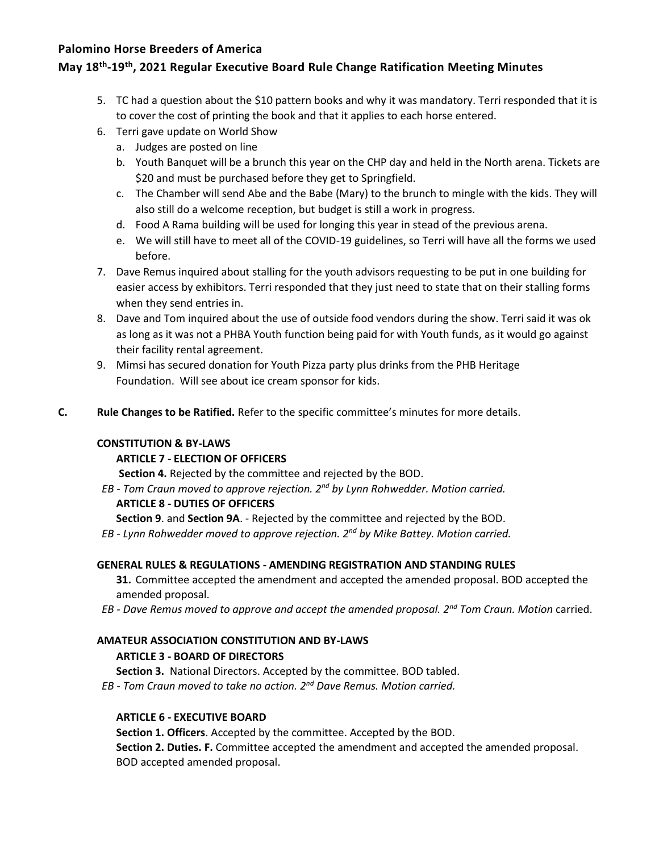# **May 18th -19th , 2021 Regular Executive Board Rule Change Ratification Meeting Minutes**

- 5. TC had a question about the \$10 pattern books and why it was mandatory. Terri responded that it is to cover the cost of printing the book and that it applies to each horse entered.
- 6. Terri gave update on World Show
	- a. Judges are posted on line
	- b. Youth Banquet will be a brunch this year on the CHP day and held in the North arena. Tickets are \$20 and must be purchased before they get to Springfield.
	- c. The Chamber will send Abe and the Babe (Mary) to the brunch to mingle with the kids. They will also still do a welcome reception, but budget is still a work in progress.
	- d. Food A Rama building will be used for longing this year in stead of the previous arena.
	- e. We will still have to meet all of the COVID-19 guidelines, so Terri will have all the forms we used before.
- 7. Dave Remus inquired about stalling for the youth advisors requesting to be put in one building for easier access by exhibitors. Terri responded that they just need to state that on their stalling forms when they send entries in.
- 8. Dave and Tom inquired about the use of outside food vendors during the show. Terri said it was ok as long as it was not a PHBA Youth function being paid for with Youth funds, as it would go against their facility rental agreement.
- 9. Mimsi has secured donation for Youth Pizza party plus drinks from the PHB Heritage Foundation. Will see about ice cream sponsor for kids.
- **C. Rule Changes to be Ratified.** Refer to the specific committee's minutes for more details.

## **CONSTITUTION & BY-LAWS**

## **ARTICLE 7 - ELECTION OF OFFICERS**

**Section 4.** Rejected by the committee and rejected by the BOD.

*EB - Tom Craun moved to approve rejection. 2nd by Lynn Rohwedder. Motion carried.*

## **ARTICLE 8 - DUTIES OF OFFICERS**

**Section 9**. and **Section 9A**. - Rejected by the committee and rejected by the BOD.

*EB - Lynn Rohwedder moved to approve rejection. 2nd by Mike Battey. Motion carried.*

## **GENERAL RULES & REGULATIONS - AMENDING REGISTRATION AND STANDING RULES**

**31.** Committee accepted the amendment and accepted the amended proposal. BOD accepted the amended proposal.

*EB - Dave Remus moved to approve and accept the amended proposal. 2nd Tom Craun. Motion* carried.

## **AMATEUR ASSOCIATION CONSTITUTION AND BY-LAWS**

## **ARTICLE 3 - BOARD OF DIRECTORS**

**Section 3.** National Directors. Accepted by the committee. BOD tabled.

*EB - Tom Craun moved to take no action. 2nd Dave Remus. Motion carried.*

## **ARTICLE 6 - EXECUTIVE BOARD**

**Section 1. Officers**. Accepted by the committee. Accepted by the BOD. **Section 2. Duties. F.** Committee accepted the amendment and accepted the amended proposal. BOD accepted amended proposal.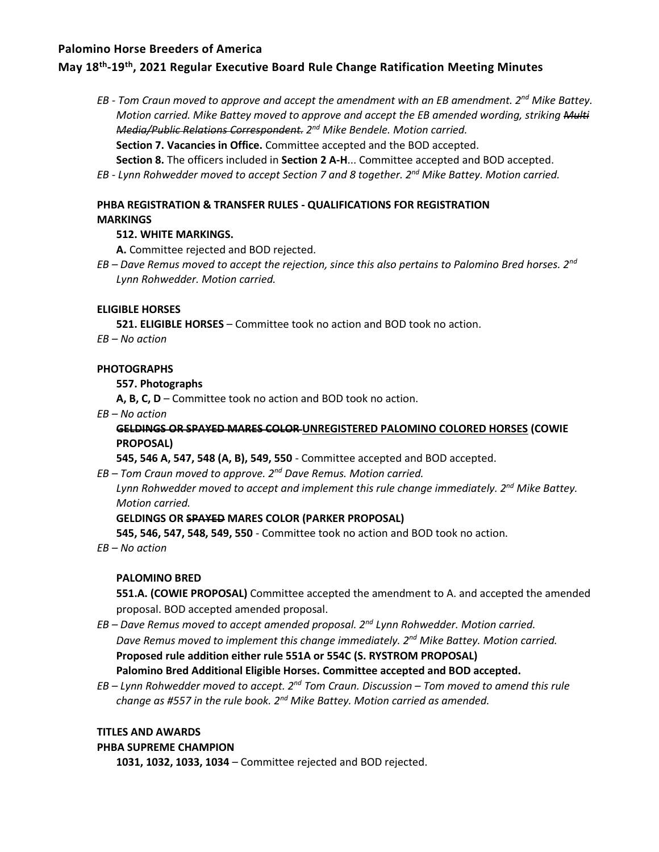## **May 18th -19th , 2021 Regular Executive Board Rule Change Ratification Meeting Minutes**

*EB - Tom Craun moved to approve and accept the amendment with an EB amendment. 2nd Mike Battey. Motion carried. Mike Battey moved to approve and accept the EB amended wording, striking Multi Media/Public Relations Correspondent. 2 nd Mike Bendele. Motion carried.*

**Section 7. Vacancies in Office.** Committee accepted and the BOD accepted.

**Section 8.** The officers included in **Section 2 A-H**... Committee accepted and BOD accepted.

*EB - Lynn Rohwedder moved to accept Section 7 and 8 together. 2nd Mike Battey. Motion carried.*

## **PHBA REGISTRATION & TRANSFER RULES - QUALIFICATIONS FOR REGISTRATION MARKINGS**

### **512. WHITE MARKINGS.**

**A.** Committee rejected and BOD rejected.

*EB – Dave Remus moved to accept the rejection, since this also pertains to Palomino Bred horses. 2nd Lynn Rohwedder. Motion carried.*

### **ELIGIBLE HORSES**

**521. ELIGIBLE HORSES** – Committee took no action and BOD took no action.

*EB – No action*

### **PHOTOGRAPHS**

**557. Photographs** 

**A, B, C, D** – Committee took no action and BOD took no action.

*EB – No action*

## **GELDINGS OR SPAYED MARES COLOR UNREGISTERED PALOMINO COLORED HORSES (COWIE PROPOSAL)**

**545, 546 A, 547, 548 (A, B), 549, 550** - Committee accepted and BOD accepted.

*EB – Tom Craun moved to approve. 2nd Dave Remus. Motion carried.*

*Lynn Rohwedder moved to accept and implement this rule change immediately. 2nd Mike Battey. Motion carried.*

## **GELDINGS OR SPAYED MARES COLOR (PARKER PROPOSAL)**

**545, 546, 547, 548, 549, 550** - Committee took no action and BOD took no action.

*EB – No action*

## **PALOMINO BRED**

**551.A. (COWIE PROPOSAL)** Committee accepted the amendment to A. and accepted the amended proposal. BOD accepted amended proposal.

- *EB – Dave Remus moved to accept amended proposal. 2nd Lynn Rohwedder. Motion carried. Dave Remus moved to implement this change immediately. 2nd Mike Battey. Motion carried.* **Proposed rule addition either rule 551A or 554C (S. RYSTROM PROPOSAL) Palomino Bred Additional Eligible Horses. Committee accepted and BOD accepted.**
- *EB – Lynn Rohwedder moved to accept. 2nd Tom Craun. Discussion – Tom moved to amend this rule change as #557 in the rule book. 2nd Mike Battey. Motion carried as amended.*

#### **TITLES AND AWARDS**

#### **PHBA SUPREME CHAMPION**

**1031, 1032, 1033, 1034** – Committee rejected and BOD rejected.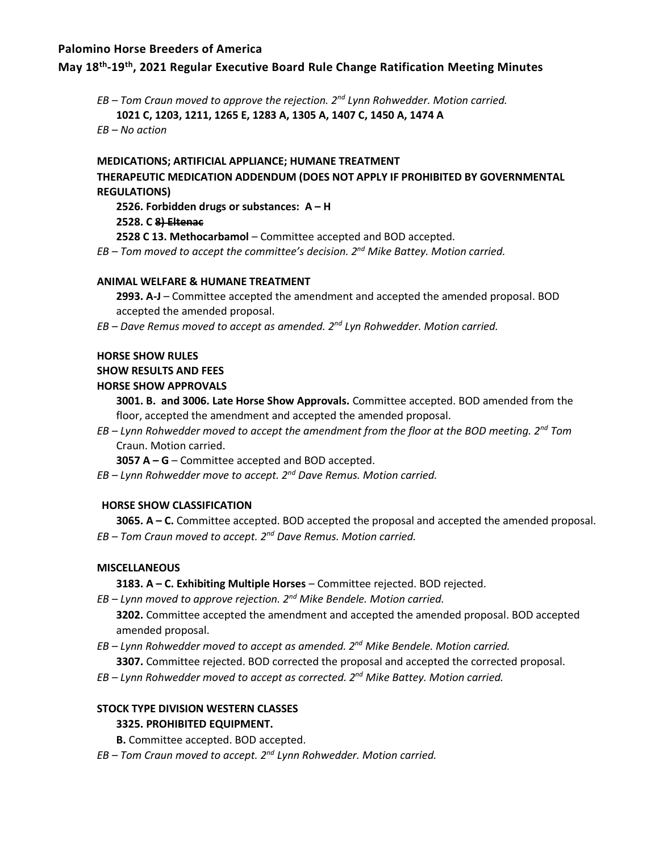## **May 18th -19th , 2021 Regular Executive Board Rule Change Ratification Meeting Minutes**

*EB – Tom Craun moved to approve the rejection. 2nd Lynn Rohwedder. Motion carried.* **1021 C, 1203, 1211, 1265 E, 1283 A, 1305 A, 1407 C, 1450 A, 1474 A** *EB – No action*

**MEDICATIONS; ARTIFICIAL APPLIANCE; HUMANE TREATMENT** 

# **THERAPEUTIC MEDICATION ADDENDUM (DOES NOT APPLY IF PROHIBITED BY GOVERNMENTAL REGULATIONS)**

**2526. Forbidden drugs or substances: A – H** 

#### **2528. C 8) Eltenac**

**2528 C 13. Methocarbamol** – Committee accepted and BOD accepted.

*EB – Tom moved to accept the committee's decision. 2nd Mike Battey. Motion carried.*

### **ANIMAL WELFARE & HUMANE TREATMENT**

**2993. A-J** – Committee accepted the amendment and accepted the amended proposal. BOD accepted the amended proposal.

*EB – Dave Remus moved to accept as amended. 2nd Lyn Rohwedder. Motion carried.*

### **HORSE SHOW RULES**

### **SHOW RESULTS AND FEES**

### **HORSE SHOW APPROVALS**

**3001. B. and 3006. Late Horse Show Approvals.** Committee accepted. BOD amended from the floor, accepted the amendment and accepted the amended proposal.

*EB – Lynn Rohwedder moved to accept the amendment from the floor at the BOD meeting. 2nd Tom* Craun. Motion carried.

**3057 A – G** – Committee accepted and BOD accepted.

*EB – Lynn Rohwedder move to accept. 2nd Dave Remus. Motion carried.*

## **HORSE SHOW CLASSIFICATION**

**3065. A – C.** Committee accepted. BOD accepted the proposal and accepted the amended proposal. *EB – Tom Craun moved to accept. 2nd Dave Remus. Motion carried.*

#### **MISCELLANEOUS**

**3183. A – C. Exhibiting Multiple Horses** – Committee rejected. BOD rejected.

*EB – Lynn moved to approve rejection. 2nd Mike Bendele. Motion carried.*

**3202.** Committee accepted the amendment and accepted the amended proposal. BOD accepted amended proposal.

*EB – Lynn Rohwedder moved to accept as amended. 2nd Mike Bendele. Motion carried.*

**3307.** Committee rejected. BOD corrected the proposal and accepted the corrected proposal.

*EB – Lynn Rohwedder moved to accept as corrected. 2nd Mike Battey. Motion carried.*

## **STOCK TYPE DIVISION WESTERN CLASSES**

## **3325. PROHIBITED EQUIPMENT.**

**B.** Committee accepted. BOD accepted.

*EB – Tom Craun moved to accept. 2nd Lynn Rohwedder. Motion carried.*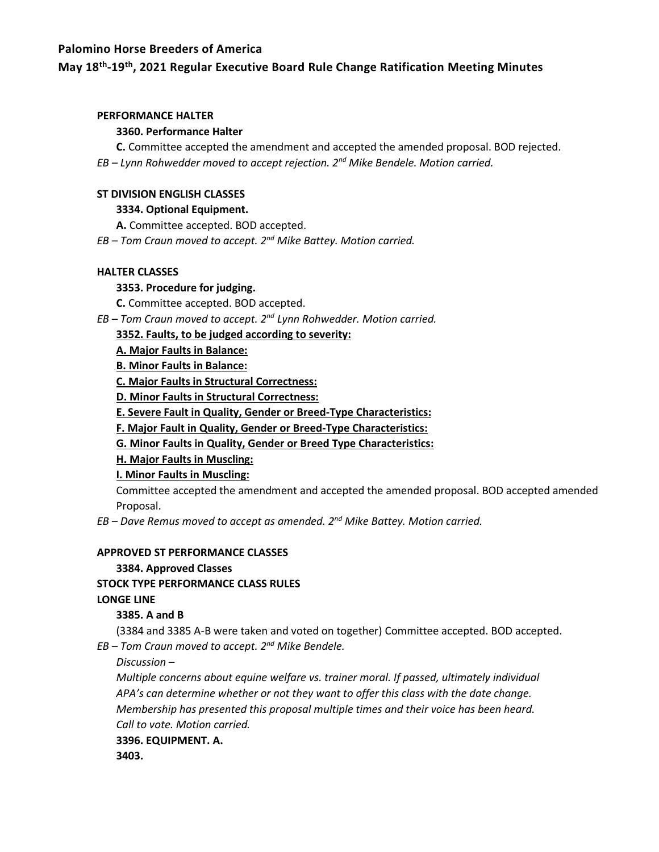## **May 18th -19th , 2021 Regular Executive Board Rule Change Ratification Meeting Minutes**

#### **PERFORMANCE HALTER**

### **3360. Performance Halter**

**C.** Committee accepted the amendment and accepted the amended proposal. BOD rejected. *EB – Lynn Rohwedder moved to accept rejection. 2nd Mike Bendele. Motion carried.*

#### **ST DIVISION ENGLISH CLASSES**

### **3334. Optional Equipment.**

**A.** Committee accepted. BOD accepted.

*EB – Tom Craun moved to accept. 2nd Mike Battey. Motion carried.*

### **HALTER CLASSES**

## **3353. Procedure for judging.**

**C.** Committee accepted. BOD accepted.

*EB – Tom Craun moved to accept. 2nd Lynn Rohwedder. Motion carried.*

**3352. Faults, to be judged according to severity:** 

**A. Major Faults in Balance:**

**B. Minor Faults in Balance:**

**C. Major Faults in Structural Correctness:** 

**D. Minor Faults in Structural Correctness:** 

**E. Severe Fault in Quality, Gender or Breed-Type Characteristics:**

**F. Major Fault in Quality, Gender or Breed-Type Characteristics:**

**G. Minor Faults in Quality, Gender or Breed Type Characteristics:**

**H. Major Faults in Muscling:**

**I. Minor Faults in Muscling:** 

Committee accepted the amendment and accepted the amended proposal. BOD accepted amended Proposal.

*EB – Dave Remus moved to accept as amended. 2nd Mike Battey. Motion carried.*

#### **APPROVED ST PERFORMANCE CLASSES**

## **3384. Approved Classes**

**STOCK TYPE PERFORMANCE CLASS RULES** 

#### **LONGE LINE**

## **3385. A and B**

(3384 and 3385 A-B were taken and voted on together) Committee accepted. BOD accepted. *EB – Tom Craun moved to accept. 2nd Mike Bendele.* 

*Discussion –*

*Multiple concerns about equine welfare vs. trainer moral. If passed, ultimately individual APA's can determine whether or not they want to offer this class with the date change. Membership has presented this proposal multiple times and their voice has been heard. Call to vote. Motion carried.*

**3396. EQUIPMENT. A.** 

**3403.**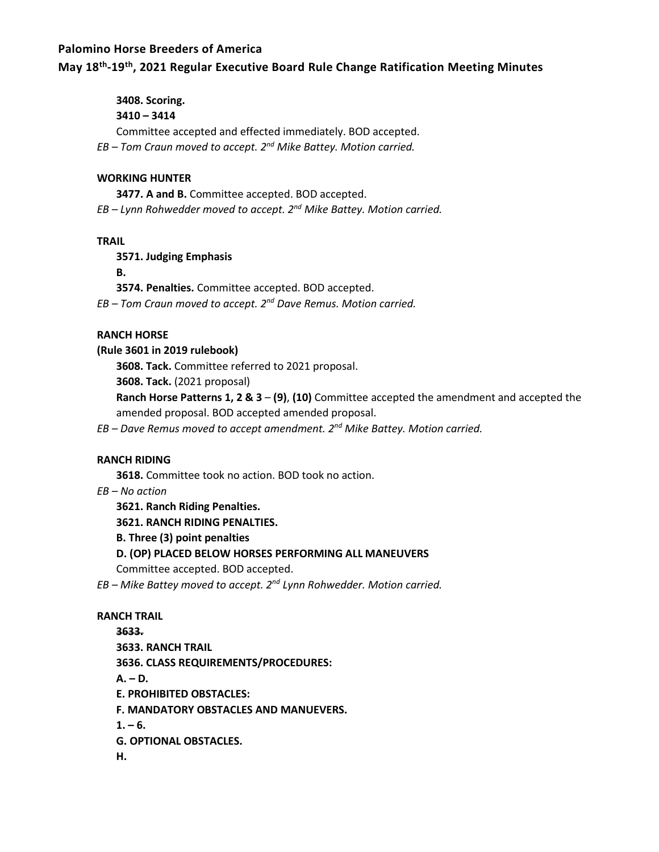## **May 18th -19th , 2021 Regular Executive Board Rule Change Ratification Meeting Minutes**

**3408. Scoring.** 

## **3410 – 3414**

Committee accepted and effected immediately. BOD accepted.

*EB – Tom Craun moved to accept. 2nd Mike Battey. Motion carried.*

### **WORKING HUNTER**

**3477. A and B.** Committee accepted. BOD accepted.

*EB – Lynn Rohwedder moved to accept. 2nd Mike Battey. Motion carried.*

### **TRAIL**

**3571. Judging Emphasis** 

**B.** 

**3574. Penalties.** Committee accepted. BOD accepted.

*EB – Tom Craun moved to accept. 2nd Dave Remus. Motion carried.*

## **RANCH HORSE**

**(Rule 3601 in 2019 rulebook)** 

**3608. Tack.** Committee referred to 2021 proposal.

**3608. Tack.** (2021 proposal)

**Ranch Horse Patterns 1, 2 & 3** – **(9)**, **(10)** Committee accepted the amendment and accepted the amended proposal. BOD accepted amended proposal.

*EB – Dave Remus moved to accept amendment. 2nd Mike Battey. Motion carried.*

## **RANCH RIDING**

**3618.** Committee took no action. BOD took no action.

*EB – No action*

**3621. Ranch Riding Penalties.** 

**3621. RANCH RIDING PENALTIES.** 

**B. Three (3) point penalties** 

## **D. (OP) PLACED BELOW HORSES PERFORMING ALL MANEUVERS**

Committee accepted. BOD accepted.

*EB – Mike Battey moved to accept. 2nd Lynn Rohwedder. Motion carried.*

## **RANCH TRAIL**

**3633. 3633. RANCH TRAIL 3636. CLASS REQUIREMENTS/PROCEDURES: A. – D. E. PROHIBITED OBSTACLES: F. MANDATORY OBSTACLES AND MANUEVERS.**   $1. - 6.$ **G. OPTIONAL OBSTACLES. H.**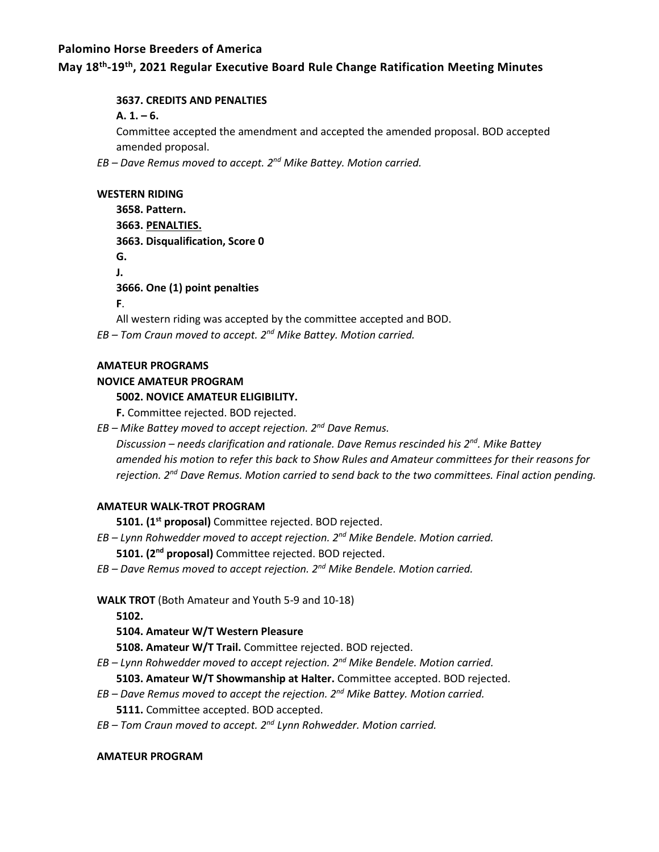## **May 18th -19th , 2021 Regular Executive Board Rule Change Ratification Meeting Minutes**

### **3637. CREDITS AND PENALTIES**

### $A. 1. - 6.$

Committee accepted the amendment and accepted the amended proposal. BOD accepted amended proposal.

*EB – Dave Remus moved to accept. 2nd Mike Battey. Motion carried.*

#### **WESTERN RIDING**

| 3658. Pattern.                                                               |
|------------------------------------------------------------------------------|
| 3663. PENALTIES.                                                             |
| 3663. Disqualification, Score 0                                              |
| G.                                                                           |
| J.                                                                           |
| 3666. One (1) point penalties                                                |
| F.                                                                           |
| All western riding was accepted by the committee accepted and BOD.           |
| EB - Tom Craun moved to accept. 2 <sup>nd</sup> Mike Battey. Motion carried. |

### **AMATEUR PROGRAMS**

#### **NOVICE AMATEUR PROGRAM**

## **5002. NOVICE AMATEUR ELIGIBILITY.**

**F.** Committee rejected. BOD rejected.

*EB – Mike Battey moved to accept rejection. 2nd Dave Remus.*

*Discussion – needs clarification and rationale. Dave Remus rescinded his 2nd. Mike Battey amended his motion to refer this back to Show Rules and Amateur committees for their reasons for rejection. 2 nd Dave Remus. Motion carried to send back to the two committees. Final action pending.*

#### **AMATEUR WALK-TROT PROGRAM**

**5101. (1st proposal)** Committee rejected. BOD rejected.

*EB – Lynn Rohwedder moved to accept rejection. 2nd Mike Bendele. Motion carried.*

**5101. (2 nd proposal)** Committee rejected. BOD rejected.

*EB – Dave Remus moved to accept rejection. 2nd Mike Bendele. Motion carried.*

**WALK TROT** (Both Amateur and Youth 5-9 and 10-18)

**5102.** 

## **5104. Amateur W/T Western Pleasure**

**5108. Amateur W/T Trail.** Committee rejected. BOD rejected.

*EB – Lynn Rohwedder moved to accept rejection. 2nd Mike Bendele. Motion carried.*

**5103. Amateur W/T Showmanship at Halter.** Committee accepted. BOD rejected.

- *EB – Dave Remus moved to accept the rejection. 2nd Mike Battey. Motion carried.* **5111.** Committee accepted. BOD accepted.
- *EB – Tom Craun moved to accept. 2nd Lynn Rohwedder. Motion carried.*

#### **AMATEUR PROGRAM**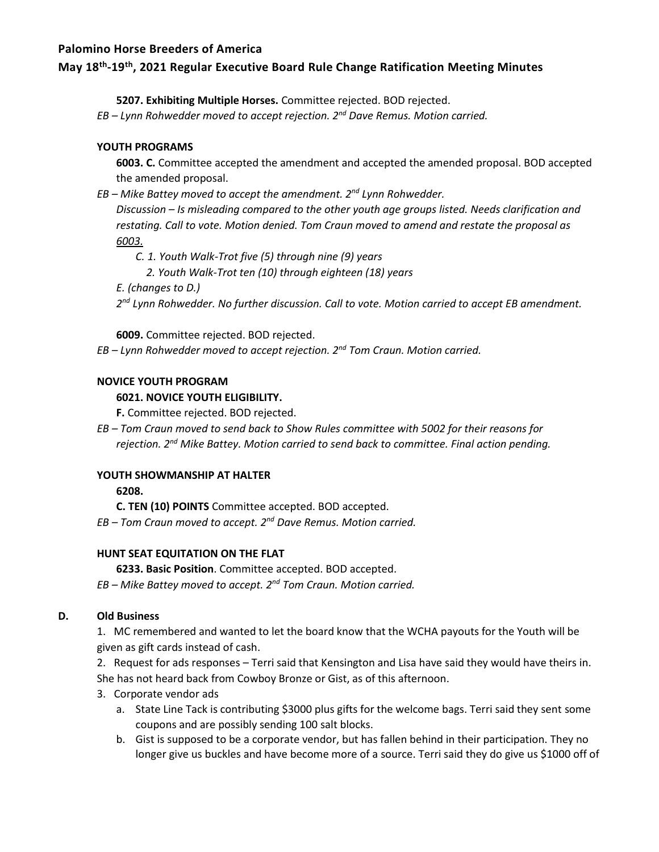# **May 18th -19th , 2021 Regular Executive Board Rule Change Ratification Meeting Minutes**

**5207. Exhibiting Multiple Horses.** Committee rejected. BOD rejected.

*EB – Lynn Rohwedder moved to accept rejection. 2nd Dave Remus. Motion carried.*

## **YOUTH PROGRAMS**

**6003. C.** Committee accepted the amendment and accepted the amended proposal. BOD accepted the amended proposal.

*EB – Mike Battey moved to accept the amendment. 2nd Lynn Rohwedder.*

*Discussion – Is misleading compared to the other youth age groups listed. Needs clarification and restating. Call to vote. Motion denied. Tom Craun moved to amend and restate the proposal as 6003.* 

- *C. 1. Youth Walk-Trot five (5) through nine (9) years* 
	- *2. Youth Walk-Trot ten (10) through eighteen (18) years*

*E. (changes to D.)*

*2 nd Lynn Rohwedder. No further discussion. Call to vote. Motion carried to accept EB amendment.*

**6009.** Committee rejected. BOD rejected.

*EB – Lynn Rohwedder moved to accept rejection. 2nd Tom Craun. Motion carried.*

## **NOVICE YOUTH PROGRAM**

## **6021. NOVICE YOUTH ELIGIBILITY.**

**F.** Committee rejected. BOD rejected.

*EB – Tom Craun moved to send back to Show Rules committee with 5002 for their reasons for rejection. 2 nd Mike Battey. Motion carried to send back to committee. Final action pending.*

## **YOUTH SHOWMANSHIP AT HALTER**

**6208.** 

**C. TEN (10) POINTS** Committee accepted. BOD accepted.

*EB – Tom Craun moved to accept. 2nd Dave Remus. Motion carried.*

## **HUNT SEAT EQUITATION ON THE FLAT**

**6233. Basic Position**. Committee accepted. BOD accepted.

*EB – Mike Battey moved to accept. 2nd Tom Craun. Motion carried.*

## **D. Old Business**

1. MC remembered and wanted to let the board know that the WCHA payouts for the Youth will be given as gift cards instead of cash.

2. Request for ads responses – Terri said that Kensington and Lisa have said they would have theirs in. She has not heard back from Cowboy Bronze or Gist, as of this afternoon.

- 3. Corporate vendor ads
	- a. State Line Tack is contributing \$3000 plus gifts for the welcome bags. Terri said they sent some coupons and are possibly sending 100 salt blocks.
	- b. Gist is supposed to be a corporate vendor, but has fallen behind in their participation. They no longer give us buckles and have become more of a source. Terri said they do give us \$1000 off of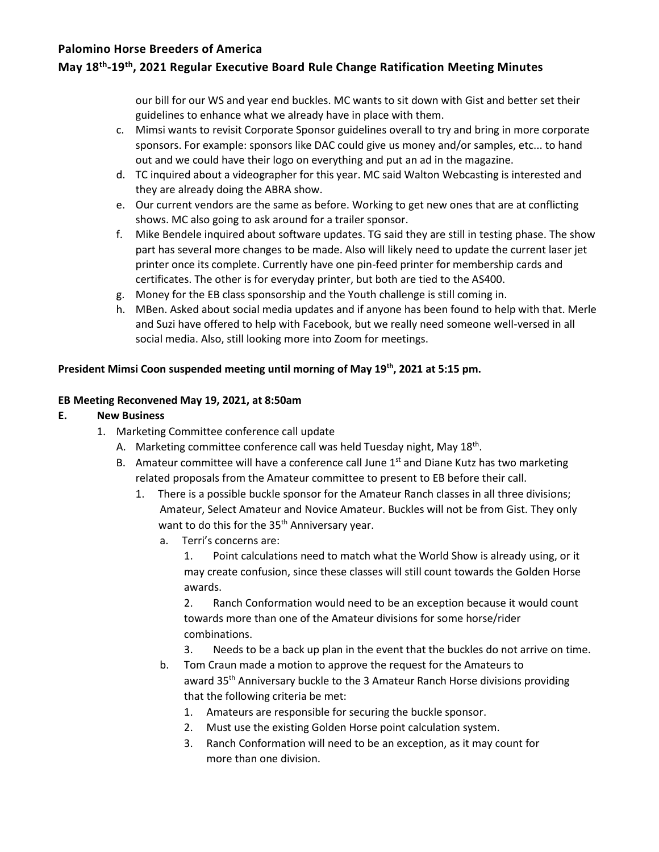# **May 18th -19th , 2021 Regular Executive Board Rule Change Ratification Meeting Minutes**

our bill for our WS and year end buckles. MC wants to sit down with Gist and better set their guidelines to enhance what we already have in place with them.

- c. Mimsi wants to revisit Corporate Sponsor guidelines overall to try and bring in more corporate sponsors. For example: sponsors like DAC could give us money and/or samples, etc... to hand out and we could have their logo on everything and put an ad in the magazine.
- d. TC inquired about a videographer for this year. MC said Walton Webcasting is interested and they are already doing the ABRA show.
- e. Our current vendors are the same as before. Working to get new ones that are at conflicting shows. MC also going to ask around for a trailer sponsor.
- f. Mike Bendele inquired about software updates. TG said they are still in testing phase. The show part has several more changes to be made. Also will likely need to update the current laser jet printer once its complete. Currently have one pin-feed printer for membership cards and certificates. The other is for everyday printer, but both are tied to the AS400.
- g. Money for the EB class sponsorship and the Youth challenge is still coming in.
- h. MBen. Asked about social media updates and if anyone has been found to help with that. Merle and Suzi have offered to help with Facebook, but we really need someone well-versed in all social media. Also, still looking more into Zoom for meetings.

## **President Mimsi Coon suspended meeting until morning of May 19th, 2021 at 5:15 pm.**

## **EB Meeting Reconvened May 19, 2021, at 8:50am**

## **E. New Business**

- 1. Marketing Committee conference call update
	- A. Marketing committee conference call was held Tuesday night, May 18<sup>th</sup>.
	- B. Amateur committee will have a conference call June  $1<sup>st</sup>$  and Diane Kutz has two marketing related proposals from the Amateur committee to present to EB before their call.
		- 1. There is a possible buckle sponsor for the Amateur Ranch classes in all three divisions; Amateur, Select Amateur and Novice Amateur. Buckles will not be from Gist. They only want to do this for the 35<sup>th</sup> Anniversary year.
			- a. Terri's concerns are:

1. Point calculations need to match what the World Show is already using, or it may create confusion, since these classes will still count towards the Golden Horse awards.

2. Ranch Conformation would need to be an exception because it would count towards more than one of the Amateur divisions for some horse/rider combinations.

- 3. Needs to be a back up plan in the event that the buckles do not arrive on time.
- b. Tom Craun made a motion to approve the request for the Amateurs to award 35<sup>th</sup> Anniversary buckle to the 3 Amateur Ranch Horse divisions providing that the following criteria be met:
	- 1. Amateurs are responsible for securing the buckle sponsor.
	- 2. Must use the existing Golden Horse point calculation system.
	- 3. Ranch Conformation will need to be an exception, as it may count for more than one division.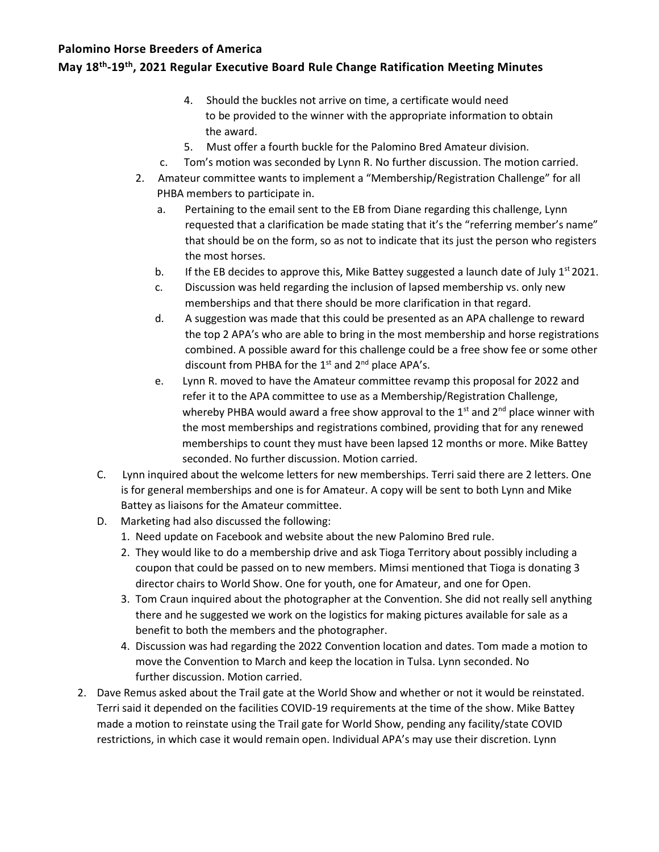# **May 18th -19th , 2021 Regular Executive Board Rule Change Ratification Meeting Minutes**

- 4. Should the buckles not arrive on time, a certificate would need to be provided to the winner with the appropriate information to obtain the award.
- 5. Must offer a fourth buckle for the Palomino Bred Amateur division.
- c. Tom's motion was seconded by Lynn R. No further discussion. The motion carried.
- 2. Amateur committee wants to implement a "Membership/Registration Challenge" for all PHBA members to participate in.
	- a. Pertaining to the email sent to the EB from Diane regarding this challenge, Lynn requested that a clarification be made stating that it's the "referring member's name" that should be on the form, so as not to indicate that its just the person who registers the most horses.
	- b. If the EB decides to approve this, Mike Battey suggested a launch date of July  $1^{st}$  2021.
	- c. Discussion was held regarding the inclusion of lapsed membership vs. only new memberships and that there should be more clarification in that regard.
	- d. A suggestion was made that this could be presented as an APA challenge to reward the top 2 APA's who are able to bring in the most membership and horse registrations combined. A possible award for this challenge could be a free show fee or some other discount from PHBA for the  $1<sup>st</sup>$  and  $2<sup>nd</sup>$  place APA's.
	- e. Lynn R. moved to have the Amateur committee revamp this proposal for 2022 and refer it to the APA committee to use as a Membership/Registration Challenge, whereby PHBA would award a free show approval to the  $1<sup>st</sup>$  and  $2<sup>nd</sup>$  place winner with the most memberships and registrations combined, providing that for any renewed memberships to count they must have been lapsed 12 months or more. Mike Battey seconded. No further discussion. Motion carried.
- C. Lynn inquired about the welcome letters for new memberships. Terri said there are 2 letters. One is for general memberships and one is for Amateur. A copy will be sent to both Lynn and Mike Battey as liaisons for the Amateur committee.
- D. Marketing had also discussed the following:
	- 1. Need update on Facebook and website about the new Palomino Bred rule.
	- 2. They would like to do a membership drive and ask Tioga Territory about possibly including a coupon that could be passed on to new members. Mimsi mentioned that Tioga is donating 3 director chairs to World Show. One for youth, one for Amateur, and one for Open.
	- 3. Tom Craun inquired about the photographer at the Convention. She did not really sell anything there and he suggested we work on the logistics for making pictures available for sale as a benefit to both the members and the photographer.
	- 4. Discussion was had regarding the 2022 Convention location and dates. Tom made a motion to move the Convention to March and keep the location in Tulsa. Lynn seconded. No further discussion. Motion carried.
- 2. Dave Remus asked about the Trail gate at the World Show and whether or not it would be reinstated. Terri said it depended on the facilities COVID-19 requirements at the time of the show. Mike Battey made a motion to reinstate using the Trail gate for World Show, pending any facility/state COVID restrictions, in which case it would remain open. Individual APA's may use their discretion. Lynn